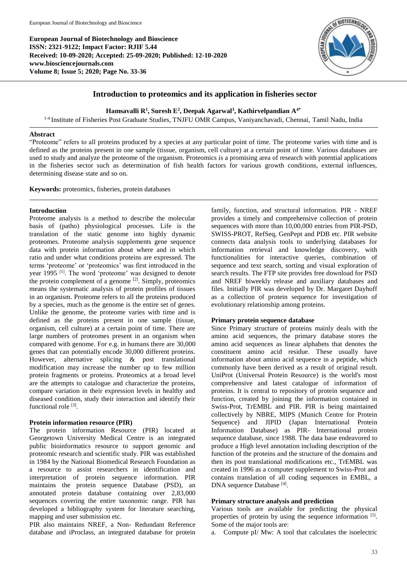**European Journal of Biotechnology and Bioscience ISSN: 2321-9122; Impact Factor: RJIF 5.44 Received: 10-09-2020; Accepted: 25-09-2020; Published: 12-10-2020 www.biosciencejournals.com Volume 8; Issue 5; 2020; Page No. 33-36**



# **Introduction to proteomics and its application in fisheries sector**

**Hamsavalli R<sup>1</sup> , Suresh E 2 , Deepak Agarwal<sup>3</sup> , Kathirvelpandian A4\***

<sup>1-4</sup> Institute of Fisheries Post Graduate Studies, TNJFU OMR Campus, Vaniyanchavadi, Chennai, Tamil Nadu, India

### **Abstract**

"Proteome" refers to all proteins produced by a species at any particular point of time. The proteome varies with time and is defined as the proteins present in one sample (tissue, organism, cell culture) at a certain point of time. Various databases are used to study and analyze the proteome of the organism. Proteomics is a promising area of research with potential applications in the fisheries sector such as determination of fish health factors for various growth conditions, external influences, determining disease state and so on.

**Keywords:** proteomics, fisheries, protein databases

## **Introduction**

Proteome analysis is a method to describe the molecular basis of (patho) physiological processes. Life is the translation of the static genome into highly dynamic proteomes. Proteome analysis supplements gene sequence data with protein information about where and in which ratio and under what conditions proteins are expressed. The terms 'proteome' or 'proteomics' was first introduced in the year 1995<sup>[1]</sup>. The word 'proteome' was designed to denote the protein complement of a genome  $[2]$ . Simply, proteomics means the systematic analysis of protein profiles of tissues in an organism. Proteome refers to all the proteins produced by a species, much as the genome is the entire set of genes. Unlike the genome, the proteome varies with time and is defined as the proteins present in one sample (tissue, organism, cell culture) at a certain point of time. There are large numbers of proteomes present in an organism when compared with genome. For e.g. in humans there are 30,000 genes that can potentially encode 30,000 different proteins. However, alternative splicing & post translational modification may increase the number up to few million protein fragments or proteins. Proteomics at a broad level are the attempts to catalogue and characterize the proteins, compare variation in their expression levels in healthy and diseased condition, study their interaction and identify their functional role [3].

## **Protein information resource (PIR)**

The protein information Resource (PIR) located at Georgetown University Medical Centre is an integrated public bioinformatics resource to support genomic and proteomic research and scientific study. PIR was established in 1984 by the National Biomedical Research Foundation as a resource to assist researchers in identification and interpretation of protein sequence information. PIR maintains the protein sequence Database (PSD), an annotated protein database containing over 2,83,000 sequences covering the entire taxonomic range. PIR has developed a bibliography system for literature searching, mapping and user submission etc.

PIR also maintains NREF, a Non- Redundant Reference database and iProclass, an integrated database for protein

family, function, and structural information. PIR - NREF provides a timely and comprehensive collection of protein sequences with more than 10,00,000 entries from PIR-PSD, SWISS-PROT, RefSeq, GenPept and PDB etc. PIR website connects data analysis tools to underlying databases for information retrieval and knowledge discovery, with functionalities for interactive queries, combination of sequence and text search, sorting and visual exploration of search results. The FTP site provides free download for PSD and NREF biweekly release and auxiliary databases and files. Initially PIR was developed by Dr. Margaret Dayhoff as a collection of protein sequence for investigation of evolutionary relationship among proteins.

### **Primary protein sequence database**

Since Primary structure of proteins mainly deals with the amino acid sequences, the primary database stores the amino acid sequences as linear alphabets that denotes the constituent amino acid residue. These usually have information about amino acid sequence in a peptide, which commonly have been derived as a result of original result. UniProt (Universal Protein Resource) is the world's most comprehensive and latest catalogue of information of proteins. It is central to repository of protein sequence and function, created by joining the information contained in Swiss-Prot, TrEMBL and PIR. PIR is being maintained collectively by NBRE, MIPS (Munich Centre for Protein Sequence) and JIPID (Japan International Protein Information Database) as PIR- International protein sequence database, since 1988. The data base endeavored to produce a High level annotation including description of the function of the proteins and the structure of the domains and then its post translational modifications etc., TrEMBL was created in 1996 as a computer supplement to Swiss-Prot and contains translation of all coding sequences in EMBL, a DNA sequence Database [4] .

### **Primary structure analysis and prediction**

Various tools are available for predicting the physical properties of protein by using the sequence information [5]. Some of the major tools are:

a. Compute pI/ Mw: A tool that calculates the isoelectric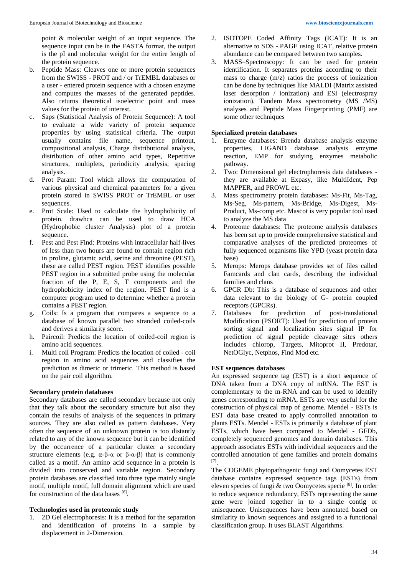point & molecular weight of an input sequence. The sequence input can be in the FASTA format, the output is the pI and molecular weight for the entire length of the protein sequence.

- b. Peptide Mass: Cleaves one or more protein sequences from the SWISS - PROT and / or TrEMBL databases or a user - entered protein sequence with a chosen enzyme and computes the masses of the generated peptides. Also returns theoretical isoelectric point and mass values for the protein of interest.
- c. Saps (Statistical Analysis of Protein Sequence): A tool to evaluate a wide variety of protein sequence properties by using statistical criteria. The output usually contains file name, sequence printout, compositional analysis, Charge distributional analysis, distribution of other amino acid types, Repetitive structures, multiplets, periodicity analysis, spacing analysis.
- d. Prot Param: Tool which allows the computation of various physical and chemical parameters for a given protein stored in SWISS PROT or TrEMBL or user sequences.
- e. Prot Scale: Used to calculate the hydrophobicity of protein. drawhca can be used to draw HCA (Hydrophobic cluster Analysis) plot of a protein sequence.
- f. Pest and Pest Find: Proteins with intracellular half-lives of less than two hours are found to contain region rich in proline, glutamic acid, serine and threonine (PEST), these are called PEST region. PEST identifies possible PEST region in a submitted probe using the molecular fraction of the P, E, S, T components and the hydrophobicity index of the region. PEST find is a computer program used to determine whether a protein contains a PEST region.
- g. Coils: Is a program that compares a sequence to a database of known parallel two stranded coiled-coils and derives a similarity score.
- h. Paircoil: Predicts the location of coiled-coil region is amino acid sequences.
- i. Multi coil Program: Predicts the location of coiled coil region in amino acid sequences and classifies the prediction as dimeric or trimeric. This method is based on the pair coil algorithm.

## **Secondary protein databases**

Secondary databases are called secondary because not only that they talk about the secondary structure but also they contain the results of analysis of the sequences in primary sources. They are also called as pattern databases. Very often the sequence of an unknown protein is too distantly related to any of the known sequence but it can be identified by the occurrence of a particular cluster a secondary structure elements (e.g.  $\alpha$ -β- $\alpha$  or β- $\alpha$ -β) that is commonly called as a motif. An amino acid sequence in a protein is divided into conserved and variable region. Secondary protein databases are classified into three type mainly single motif, multiple motif, full domain alignment which are used for construction of the data bases [6].

# **Technologies used in proteomic study**

1. 2D Gel electrophoresis: It is a method for the separation and identification of proteins in a sample by displacement in 2-Dimension.

- 2. ISOTOPE Coded Affinity Tags (ICAT): It is an alternative to SDS - PAGE using ICAT, relative protein abundance can be compared between two samples.
- 3. MASS–Spectroscopy: It can be used for protein identification. It separates proteins according to their mass to charge (m/z) ratios the process of ionization can be done by techniques like MALDI (Matrix assisted laser desorption / ionization) and ESI (electrospray ionization). Tandem Mass spectrometry (MS /MS) analyses and Peptide Mass Fingerprinting (PMF) are some other techniques

## **Specialized protein databases**

- 1. Enzyme databases: Brenda database analysis enzyme properties, LIGAND database analysis enzyme reaction, EMP for studying enzymes metabolic pathway.
- 2. Two: Dimensional gel electrophoresis data databases they are available at Expasy, like MultiIdent, Pep MAPPER, and PROWL etc.
- 3. Mass spectrometry protein databases: Ms-Fit, Ms-Tag, Ms-Seg, Ms-pattern, Ms-Bridge, Ms-Digest, Ms-Product, Ms-comp etc. Mascot is very popular tool used to analyze the MS data
- 4. Proteome databases: The proteome analysis databases has been set up to provide comprehensive statistical and comparative analyses of the predicted proteomes of fully sequenced organisms like YPD (yeast protein data base)
- 5. Merops: Merops database provides set of files called Famcards and clan cards, describing the individual families and clans
- 6. GPCR Db: This is a database of sequences and other data relevant to the biology of G- protein coupled receptors (GPCRs).
- 7. Databases for prediction of post-translational Modification (PSORT): Used for prediction of protein sorting signal and localization sites signal IP for prediction of signal peptide cleavage sites others includes chlorop, Targets, Mitoprot II, Predotar, NetOGlyc, Netphos, Find Mod etc.

# **EST sequences databases**

An expressed sequence tag (EST) is a short sequence of DNA taken from a DNA copy of mRNA. The EST is complementary to the m-RNA and can be used to identify genes corresponding to mRNA, ESTs are very useful for the construction of physical map of genome. Mendel - ESTs is EST data base created to apply controlled annotation to plants ESTs. Mendel - ESTs is primarily a database of plant ESTs, which have been compared to Mendel - GFDb, completely sequenced genomes and domain databases. This approach associates ESTs with individual sequences and the controlled annotation of gene families and protein domains [7] .

The COGEME phytopathogenic fungi and Oomycetes EST database contains expressed sequence tags (ESTs) from eleven species of fungi & two Oomycetes specie [8]. In order to reduce sequence redundancy, ESTs representing the same gene were joined together in to a single contig or unisequence. Unisequences have been annotated based on similarity to known sequences and assigned to a functional classification group. It uses BLAST Algorithms.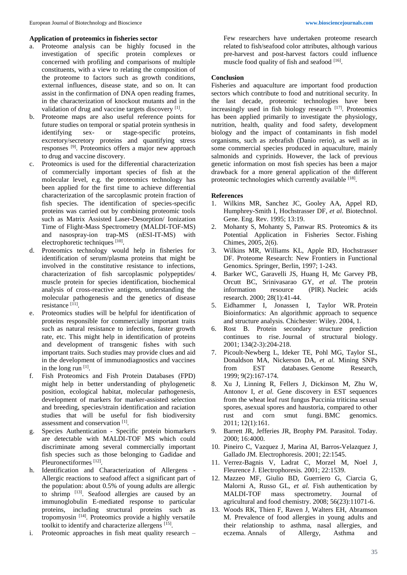#### **Application of proteomics in fisheries sector**

- a. Proteome analysis can be highly focused in the investigation of specific protein complexes or concerned with profiling and comparisons of multiple constituents, with a view to relating the composition of the proteome to factors such as growth conditions, external influences, disease state, and so on. It can assist in the confirmation of DNA open reading frames, in the characterization of knockout mutants and in the validation of drug and vaccine targets discovery [1].
- b. Proteome maps are also useful reference points for future studies on temporal or spatial protein synthesis in identifying sex-<br>or stage-specific proteins. identifying sex- or stage-specific proteins, excretory/secretory proteins and quantifying stress responses [9]. Proteomics offers a major new approach to drug and vaccine discovery.
- c. Proteomics is used for the differential characterization of commercially important species of fish at the molecular level, e.g. the proteomics technology has been applied for the first time to achieve differential characterization of the sarcoplasmic protein fraction of fish species. The identification of species-specific proteins was carried out by combining proteomic tools such as Matrix Assisted Laser-Desorption/ Ionization Time of Flight-Mass Spectrometry (MALDI-TOF-MS) and nasospray-ion trap-MS (nESI-IT-MS) with electrophoretic techniques [10].
- d. Proteomics technology would help in fisheries for identification of serum/plasma proteins that might be involved in the constitutive resistance to infections, characterization of fish sarcoplasmic polypeptides/ muscle protein for species identification, biochemical analysis of cross-reactive antigens, understanding the molecular pathogenesis and the genetics of disease resistance [11] .
- e. Proteomics studies will be helpful for identification of proteins responsible for commercially important traits such as natural resistance to infections, faster growth rate, etc. This might help in identification of proteins and development of transgenic fishes with such important traits. Such studies may provide clues and aid in the development of immunodiagnostics and vaccines in the long run [1].
- f. Fish Proteomics and Fish Protein Databases (FPD) might help in better understanding of phylogenetic position, ecological habitat, molecular pathogenesis, development of markers for marker-assisted selection and breeding, species/strain identification and raciation studies that will be useful for fish biodiversity assessment and conservation<sup>[1]</sup>.
- g. Species Authentication Specific protein biomarkers are detectable with MALDI-TOF MS which could discriminate among several commercially important fish species such as those belonging to Gadidae and Pleuronectiformes<sup>[12]</sup>.
- h. Identification and Characterization of Allergens Allergic reactions to seafood affect a significant part of the population: about 0.5% of young adults are allergic to shrimp [13]. Seafood allergies are caused by an immunoglobulin E-mediated response to particular proteins, including structural proteins such as tropomyosin [14]. Proteomics provide a highly versatile toolkit to identify and characterize allergens [15].
- i. Proteomic approaches in fish meat quality research –

Few researchers have undertaken proteome research related to fish/seafood color attributes, although various pre-harvest and post-harvest factors could influence muscle food quality of fish and seafood  $[16]$ .

#### **Conclusion**

Fisheries and aquaculture are important food production sectors which contribute to food and nutritional security. In the last decade, proteomic technologies have been increasingly used in fish biology research [17]. Proteomics has been applied primarily to investigate the physiology, nutrition, health, quality and food safety, development biology and the impact of contaminants in fish model organisms, such as zebrafish (Danio rerio), as well as in some commercial species produced in aquaculture, mainly salmonids and cyprinids. However, the lack of previous genetic information on most fish species has been a major drawback for a more general application of the different proteomic technologies which currently available [18].

#### **References**

- 1. Wilkins MR, Sanchez JC, Gooley AA, Appel RD, Humphrey-Smith I, Hochstrasser DF, *et al.* Biotechnol. Gene. Eng. Rev. 1995; 13:19.
- 2. Mohanty S, Mohanty S, Panwar RS. Proteomics & its Potential Application in Fisheries Sector. Fishing Chimes, 2005, 2(6).
- 3. Wilkins MR, Williams KL, Apple RD, Hochstrasser DF. Proteome Research: New Frontiers in Functional Genomics. Springer, Berlin, 1997; 1-243.
- 4. Barker WC, Garavelli JS, Huang H, Mc Garvey PB, Orcutt BC, Srinivasarao GY, *et al.* The protein information resource (PIR). Nucleic acids research. 2000; 28(1):41-44.
- 5. Eidhammer I, Jonassen I, Taylor WR. Protein Bioinformatics: An algorithmic approach to sequence and structure analysis*.* Chichester: Wiley. 2004, 1.
- 6. Rost B. Protein secondary structure prediction continues to rise. Journal of structural biology. 2001; 134(2-3):204-218.
- 7. Picoult-Newberg L, Ideker TE, Pohl MG, Taylor SL, Donaldson MA, Nickerson DA, *et al.* Mining SNPs from EST databases. Genome Research, 1999; 9(2):167-174.
- 8. Xu J, Linning R, Fellers J, Dickinson M, Zhu W, Antonov I, *et al.* Gene discovery in EST sequences from the wheat leaf rust fungus Puccinia triticina sexual spores, asexual spores and haustoria, compared to other rust and corn smut fungi. BMC genomics. 2011; 12(1):161.
- 9. Barrett JR, Jefferies JR, Brophy PM. Parasitol. Today. 2000; 16:4000.
- 10. Pineiro C, Vazquez J, Marina AI, Barros-Velazquez J, Gallado JM. Electrophoresis. 2001; 22:1545.
- 11. Verrez-Bagnis V, Ladrat C, Morzel M, Noel J, Fleurence J. Electrophoresis. 2001; 22:1539.
- 12. Mazzeo MF, Giulio BD, Guerriero G, Ciarcia G, Malorni A, Russo GL, *et al.* Fish authentication by MALDI-TOF mass spectrometry. Journal of agricultural and food chemistry. 2008; 56(23):11071-6.
- 13. Woods RK, Thien F, Raven J, Walters EH, Abramson M. Prevalence of food allergies in young adults and their relationship to asthma, nasal allergies, and eczema. Annals of Allergy, Asthma and